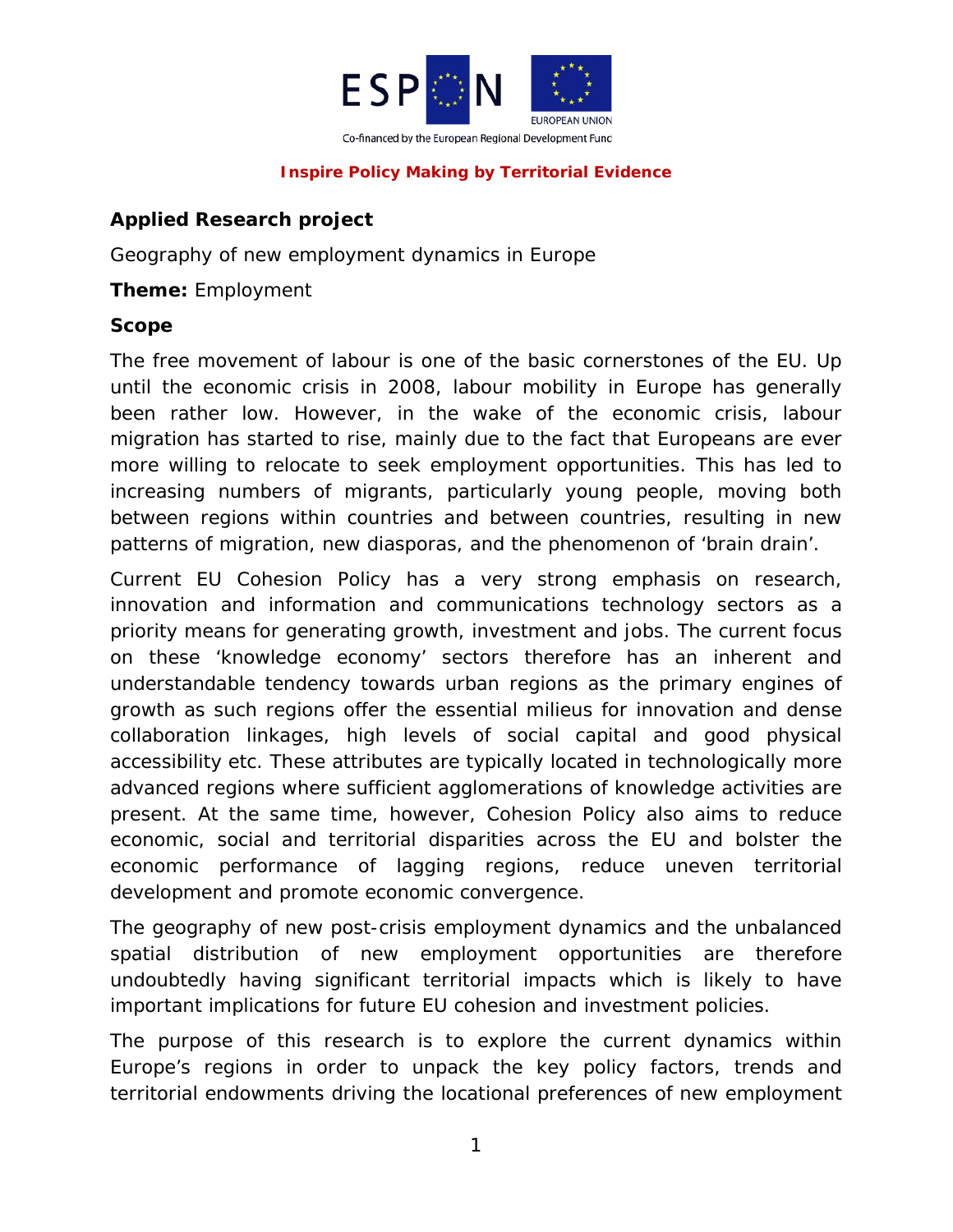

# **Applied Research project**

Geography of new employment dynamics in Europe

### **Theme:** Employment

#### **Scope**

The free movement of labour is one of the basic cornerstones of the EU. Up until the economic crisis in 2008, labour mobility in Europe has generally been rather low. However, in the wake of the economic crisis, labour migration has started to rise, mainly due to the fact that Europeans are ever more willing to relocate to seek employment opportunities. This has led to increasing numbers of migrants, particularly young people, moving both between regions within countries and between countries, resulting in new patterns of migration, new diasporas, and the phenomenon of 'brain drain'.

Current EU Cohesion Policy has a very strong emphasis on research, innovation and information and communications technology sectors as a priority means for generating growth, investment and jobs. The current focus on these 'knowledge economy' sectors therefore has an inherent and understandable tendency towards urban regions as the primary engines of growth as such regions offer the essential milieus for innovation and dense collaboration linkages, high levels of social capital and good physical accessibility etc. These attributes are typically located in technologically more advanced regions where sufficient agglomerations of knowledge activities are present. At the same time, however, Cohesion Policy also aims to reduce economic, social and territorial disparities across the EU and bolster the economic performance of lagging regions, reduce uneven territorial development and promote economic convergence.

The geography of new post-crisis employment dynamics and the unbalanced spatial distribution of new employment opportunities are therefore undoubtedly having significant territorial impacts which is likely to have important implications for future EU cohesion and investment policies.

The purpose of this research is to explore the current dynamics within Europe's regions in order to unpack the key policy factors, trends and territorial endowments driving the locational preferences of new employment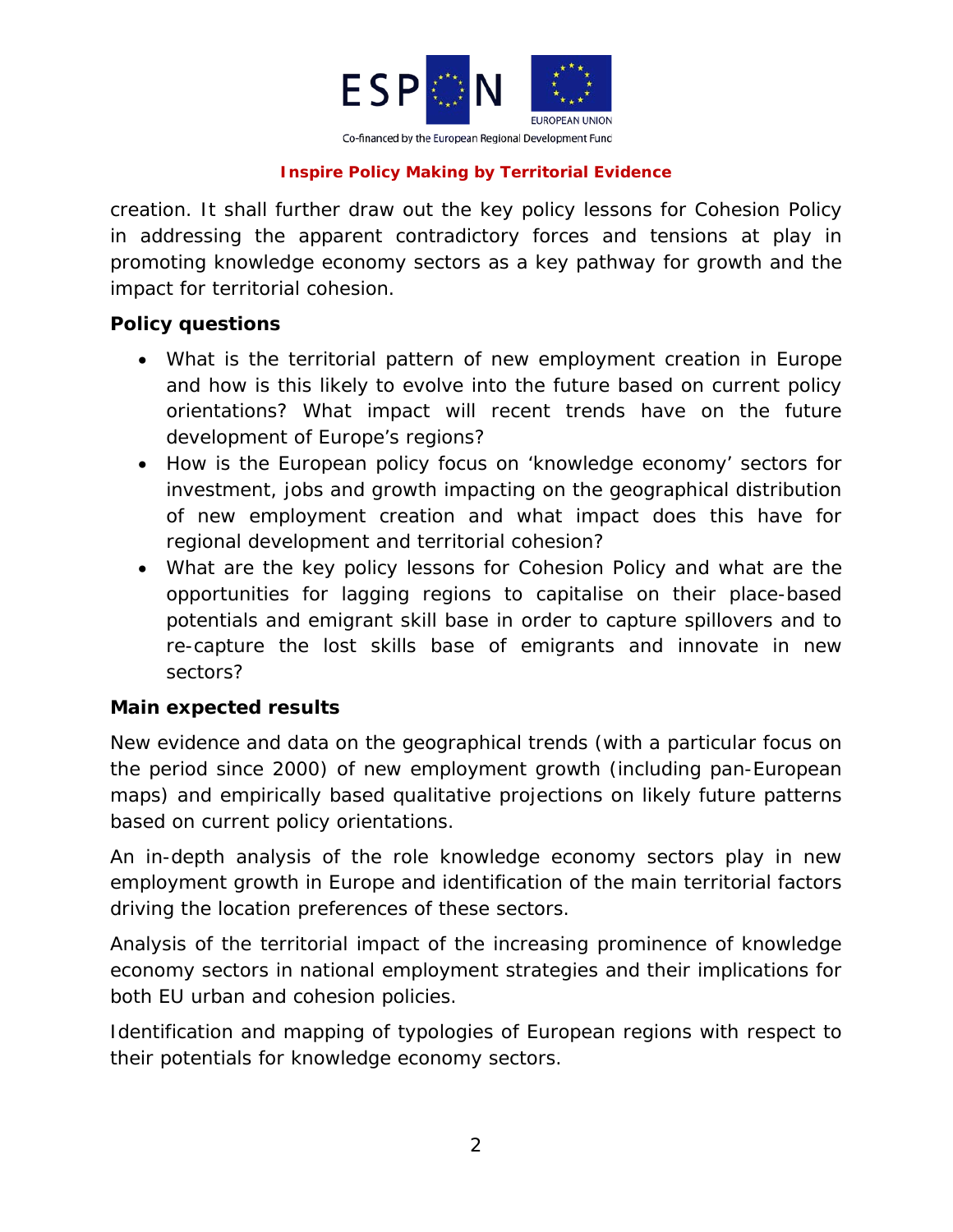

creation. It shall further draw out the key policy lessons for Cohesion Policy in addressing the apparent contradictory forces and tensions at play in promoting knowledge economy sectors as a key pathway for growth and the impact for territorial cohesion.

## **Policy questions**

- What is the territorial pattern of new employment creation in Europe and how is this likely to evolve into the future based on current policy orientations? What impact will recent trends have on the future development of Europe's regions?
- How is the European policy focus on 'knowledge economy' sectors for investment, jobs and growth impacting on the geographical distribution of new employment creation and what impact does this have for regional development and territorial cohesion?
- What are the key policy lessons for Cohesion Policy and what are the opportunities for lagging regions to capitalise on their place-based potentials and emigrant skill base in order to capture spillovers and to re-capture the lost skills base of emigrants and innovate in new sectors?

# **Main expected results**

New evidence and data on the geographical trends (with a particular focus on the period since 2000) of new employment growth (including pan-European maps) and empirically based qualitative projections on likely future patterns based on current policy orientations.

An in-depth analysis of the role knowledge economy sectors play in new employment growth in Europe and identification of the main territorial factors driving the location preferences of these sectors.

Analysis of the territorial impact of the increasing prominence of knowledge economy sectors in national employment strategies and their implications for both EU urban and cohesion policies.

Identification and mapping of typologies of European regions with respect to their potentials for knowledge economy sectors.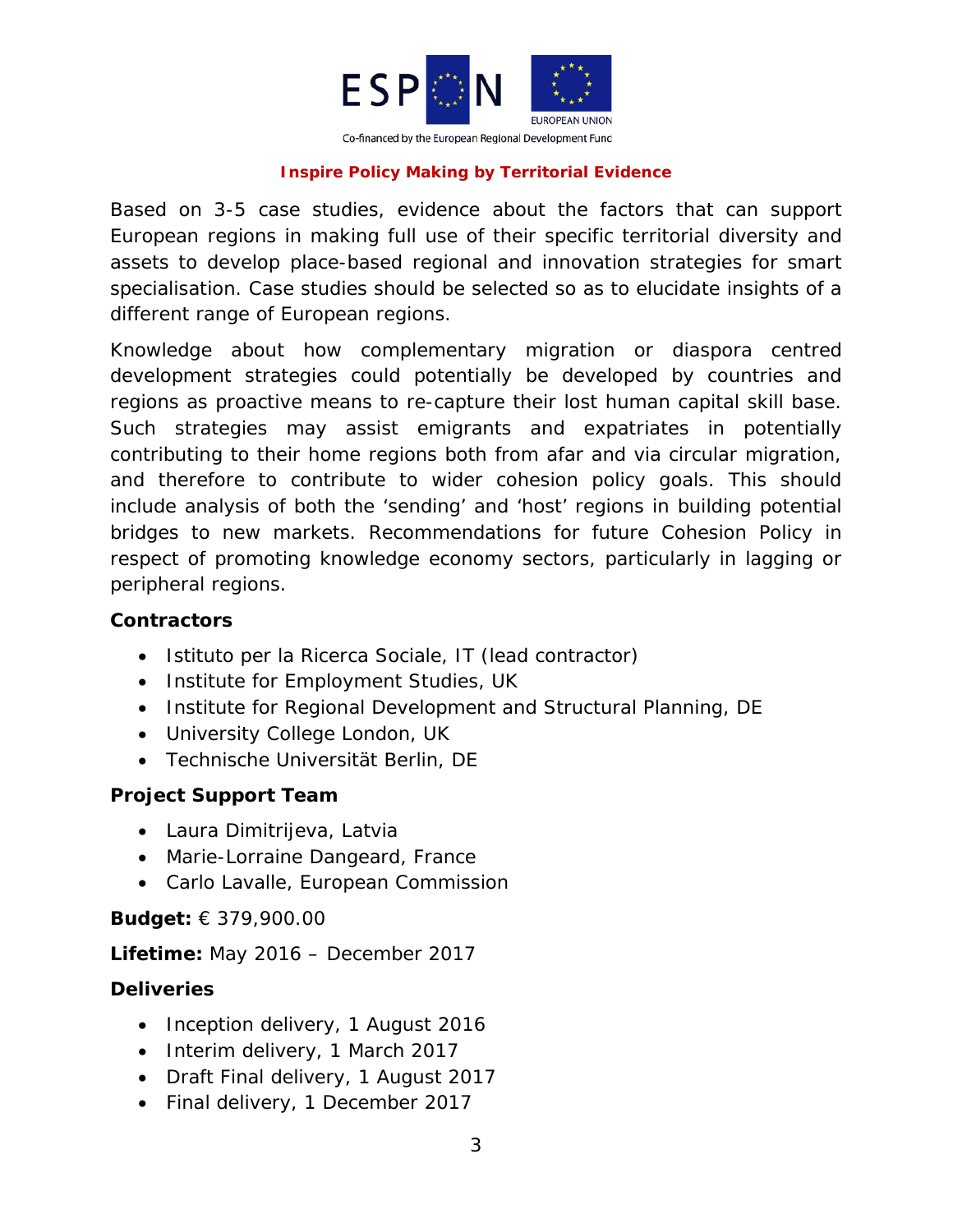

Based on 3-5 case studies, evidence about the factors that can support European regions in making full use of their specific territorial diversity and assets to develop place-based regional and innovation strategies for smart specialisation. Case studies should be selected so as to elucidate insights of a different range of European regions.

Knowledge about how complementary migration or diaspora centred development strategies could potentially be developed by countries and regions as proactive means to re-capture their lost human capital skill base. Such strategies may assist emigrants and expatriates in potentially contributing to their home regions both from afar and via circular migration, and therefore to contribute to wider cohesion policy goals. This should include analysis of both the 'sending' and 'host' regions in building potential bridges to new markets. Recommendations for future Cohesion Policy in respect of promoting knowledge economy sectors, particularly in lagging or peripheral regions.

# **Contractors**

- Istituto per la Ricerca Sociale, IT (lead contractor)
- Institute for Employment Studies, UK
- Institute for Regional Development and Structural Planning, DE
- University College London, UK
- Technische Universität Berlin, DE

# **Project Support Team**

- Laura Dimitrijeva, Latvia
- Marie-Lorraine Dangeard, France
- Carlo Lavalle, European Commission

# **Budget:** € 379,900.00

**Lifetime:** May 2016 – December 2017

# **Deliveries**

- Inception delivery, 1 August 2016
- Interim delivery, 1 March 2017
- Draft Final delivery, 1 August 2017
- Final delivery, 1 December 2017